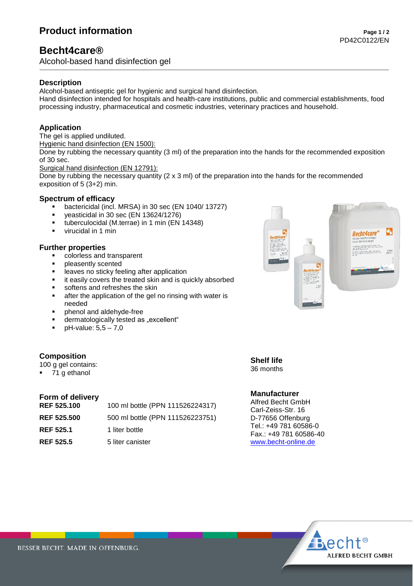# **Product information**  $\frac{1}{2}$

## **Becht4care®**

Alcohol-based hand disinfection gel

#### **Description**

Alcohol-based antiseptic gel for hygienic and surgical hand disinfection.

Hand disinfection intended for hospitals and health-care institutions, public and commercial establishments, food processing industry, pharmaceutical and cosmetic industries, veterinary practices and household.

### **Application**

The gel is applied undiluted.

Hygienic hand disinfection (EN 1500):

Done by rubbing the necessary quantity (3 ml) of the preparation into the hands for the recommended exposition of 30 sec.

Surgical hand disinfection (EN 12791):

Done by rubbing the necessary quantity  $(2 \times 3 \text{ ml})$  of the preparation into the hands for the recommended exposition of 5 (3+2) min.

#### **Spectrum of efficacy**

- bactericidal (incl. MRSA) in 30 sec (EN 1040/ 13727)
- yeasticidal in 30 sec (EN 13624/1276)
- tuberculocidal (M.terrae) in 1 min (EN 14348)
- virucidal in 1 min

#### **Further properties**

- colorless and transparent
- pleasently scented
- **EXECUTE:** leaves no sticky feeling after application
- it easily covers the treated skin and is quickly absorbed
- softens and refreshes the skin
- after the application of the gel no rinsing with water is needed
- phenol and aldehyde-free
- dermatologically tested as "excellent"
- $\bullet$  pH-value:  $5.5 7.0$

#### **Composition**

100 g gel contains:

71 g ethanol

#### **Form of delivery**

| <b>REF 525.100</b> | 100 ml bottle (PPN 111526224317) |
|--------------------|----------------------------------|
| <b>REF 525.500</b> | 500 ml bottle (PPN 111526223751) |
| <b>REF 525.1</b>   | 1 liter bottle                   |
| <b>REF 525.5</b>   | 5 liter canister                 |



**Shelf life** 36 months

#### **Manufacturer**

Alfred Becht GmbH Carl-Zeiss-Str. 16 D-77656 Offenburg Tel.: +49 781 60586-0 Fax.: +49 781 60586-40 [www.becht-online.de](http://www.becht-online.de/)



BESSER BECHT. MADE IN OFFENBURG.